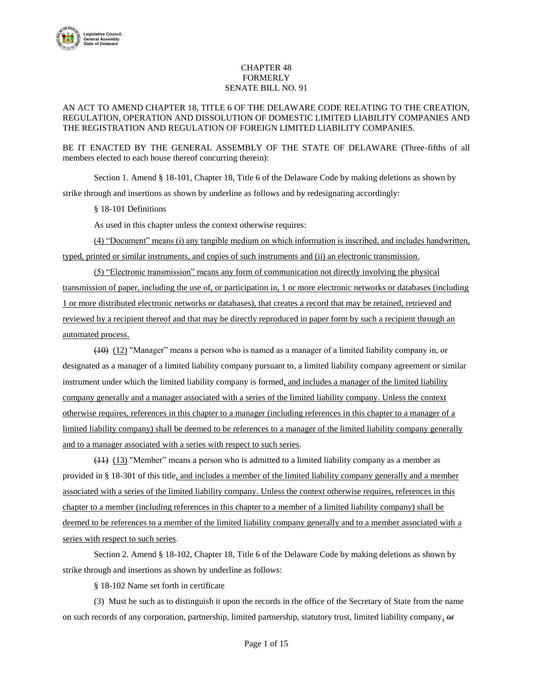

## CHAPTER 48 FORMERLY SENATE BILL NO. 91

## AN ACT TO AMEND CHAPTER 18, TITLE 6 OF THE DELAWARE CODE RELATING TO THE CREATION, REGULATION, OPERATION AND DISSOLUTION OF DOMESTIC LIMITED LIABILITY COMPANIES AND THE REGISTRATION AND REGULATION OF FOREIGN LIMITED LIABILITY COMPANIES.

BE IT ENACTED BY THE GENERAL ASSEMBLY OF THE STATE OF DELAWARE (Three-fifths of all members elected to each house thereof concurring therein):

Section 1. Amend § 18-101, Chapter 18, Title 6 of the Delaware Code by making deletions as shown by strike through and insertions as shown by underline as follows and by redesignating accordingly:

§ 18-101 Definitions

As used in this chapter unless the context otherwise requires:

(4) "Document" means (i) any tangible medium on which information is inscribed, and includes handwritten, typed, printed or similar instruments, and copies of such instruments and (ii) an electronic transmission.

(5) "Electronic transmission" means any form of communication not directly involving the physical transmission of paper, including the use of, or participation in, 1 or more electronic networks or databases (including 1 or more distributed electronic networks or databases), that creates a record that may be retained, retrieved and reviewed by a recipient thereof and that may be directly reproduced in paper form by such a recipient through an automated process.

(10) (12) "Manager" means a person who is named as a manager of a limited liability company in, or designated as a manager of a limited liability company pursuant to, a limited liability company agreement or similar instrument under which the limited liability company is formed, and includes a manager of the limited liability company generally and a manager associated with a series of the limited liability company. Unless the context otherwise requires, references in this chapter to a manager (including references in this chapter to a manager of a limited liability company) shall be deemed to be references to a manager of the limited liability company generally and to a manager associated with a series with respect to such series.

(11) (13) "Member" means a person who is admitted to a limited liability company as a member as provided in § 18-301 of this title, and includes a member of the limited liability company generally and a member associated with a series of the limited liability company. Unless the context otherwise requires, references in this chapter to a member (including references in this chapter to a member of a limited liability company) shall be deemed to be references to a member of the limited liability company generally and to a member associated with a series with respect to such series.

Section 2. Amend § 18-102, Chapter 18, Title 6 of the Delaware Code by making deletions as shown by strike through and insertions as shown by underline as follows:

§ 18-102 Name set forth in certificate

(3) Must be such as to distinguish it upon the records in the office of the Secretary of State from the name on such records of any corporation, partnership, limited partnership, statutory trust, limited liability company, or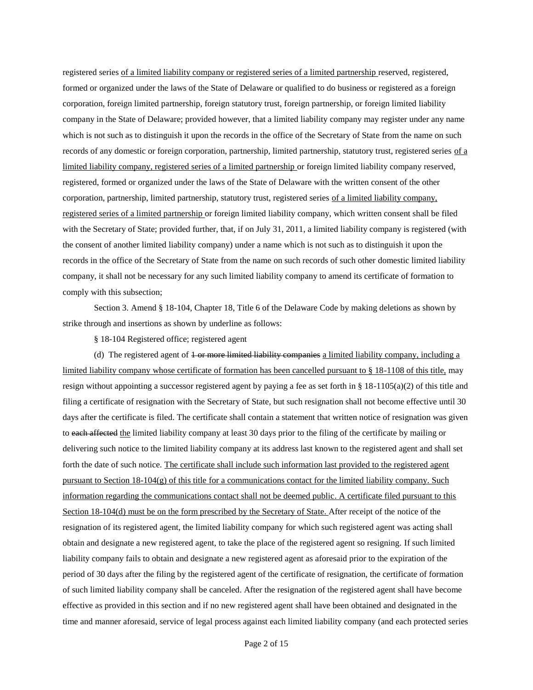registered series of a limited liability company or registered series of a limited partnership reserved, registered, formed or organized under the laws of the State of Delaware or qualified to do business or registered as a foreign corporation, foreign limited partnership, foreign statutory trust, foreign partnership, or foreign limited liability company in the State of Delaware; provided however, that a limited liability company may register under any name which is not such as to distinguish it upon the records in the office of the Secretary of State from the name on such records of any domestic or foreign corporation, partnership, limited partnership, statutory trust, registered series of a limited liability company, registered series of a limited partnership or foreign limited liability company reserved, registered, formed or organized under the laws of the State of Delaware with the written consent of the other corporation, partnership, limited partnership, statutory trust, registered series of a limited liability company, registered series of a limited partnership or foreign limited liability company, which written consent shall be filed with the Secretary of State; provided further, that, if on July 31, 2011, a limited liability company is registered (with the consent of another limited liability company) under a name which is not such as to distinguish it upon the records in the office of the Secretary of State from the name on such records of such other domestic limited liability company, it shall not be necessary for any such limited liability company to amend its certificate of formation to comply with this subsection;

Section 3. Amend § 18-104, Chapter 18, Title 6 of the Delaware Code by making deletions as shown by strike through and insertions as shown by underline as follows:

§ 18-104 Registered office; registered agent

(d) The registered agent of  $\pm$  or more limited liability companies a limited liability company, including a limited liability company whose certificate of formation has been cancelled pursuant to § 18-1108 of this title, may resign without appointing a successor registered agent by paying a fee as set forth in § 18-1105(a)(2) of this title and filing a certificate of resignation with the Secretary of State, but such resignation shall not become effective until 30 days after the certificate is filed. The certificate shall contain a statement that written notice of resignation was given to each affected the limited liability company at least 30 days prior to the filing of the certificate by mailing or delivering such notice to the limited liability company at its address last known to the registered agent and shall set forth the date of such notice. The certificate shall include such information last provided to the registered agent pursuant to Section 18-104(g) of this title for a communications contact for the limited liability company. Such information regarding the communications contact shall not be deemed public. A certificate filed pursuant to this Section 18-104(d) must be on the form prescribed by the Secretary of State. After receipt of the notice of the resignation of its registered agent, the limited liability company for which such registered agent was acting shall obtain and designate a new registered agent, to take the place of the registered agent so resigning. If such limited liability company fails to obtain and designate a new registered agent as aforesaid prior to the expiration of the period of 30 days after the filing by the registered agent of the certificate of resignation, the certificate of formation of such limited liability company shall be canceled. After the resignation of the registered agent shall have become effective as provided in this section and if no new registered agent shall have been obtained and designated in the time and manner aforesaid, service of legal process against each limited liability company (and each protected series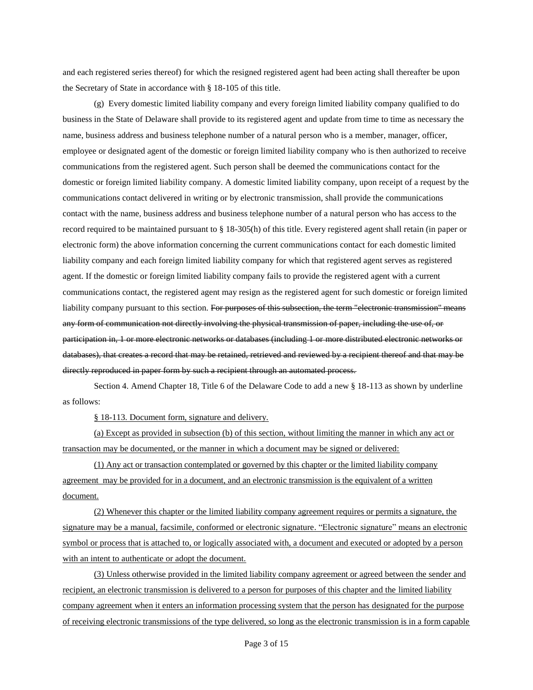and each registered series thereof) for which the resigned registered agent had been acting shall thereafter be upon the Secretary of State in accordance with § 18-105 of this title.

(g) Every domestic limited liability company and every foreign limited liability company qualified to do business in the State of Delaware shall provide to its registered agent and update from time to time as necessary the name, business address and business telephone number of a natural person who is a member, manager, officer, employee or designated agent of the domestic or foreign limited liability company who is then authorized to receive communications from the registered agent. Such person shall be deemed the communications contact for the domestic or foreign limited liability company. A domestic limited liability company, upon receipt of a request by the communications contact delivered in writing or by electronic transmission, shall provide the communications contact with the name, business address and business telephone number of a natural person who has access to the record required to be maintained pursuant to § 18-305(h) of this title. Every registered agent shall retain (in paper or electronic form) the above information concerning the current communications contact for each domestic limited liability company and each foreign limited liability company for which that registered agent serves as registered agent. If the domestic or foreign limited liability company fails to provide the registered agent with a current communications contact, the registered agent may resign as the registered agent for such domestic or foreign limited liability company pursuant to this section. For purposes of this subsection, the term "electronic transmission" means any form of communication not directly involving the physical transmission of paper, including the use of, or participation in, 1 or more electronic networks or databases (including 1 or more distributed electronic networks or databases), that creates a record that may be retained, retrieved and reviewed by a recipient thereof and that may be directly reproduced in paper form by such a recipient through an automated process.

Section 4. Amend Chapter 18, Title 6 of the Delaware Code to add a new § 18-113 as shown by underline as follows:

§ 18-113. Document form, signature and delivery.

(a) Except as provided in subsection (b) of this section, without limiting the manner in which any act or transaction may be documented, or the manner in which a document may be signed or delivered:

(1) Any act or transaction contemplated or governed by this chapter or the limited liability company agreement may be provided for in a document, and an electronic transmission is the equivalent of a written document.

(2) Whenever this chapter or the limited liability company agreement requires or permits a signature, the signature may be a manual, facsimile, conformed or electronic signature. "Electronic signature" means an electronic symbol or process that is attached to, or logically associated with, a document and executed or adopted by a person with an intent to authenticate or adopt the document.

(3) Unless otherwise provided in the limited liability company agreement or agreed between the sender and recipient, an electronic transmission is delivered to a person for purposes of this chapter and the limited liability company agreement when it enters an information processing system that the person has designated for the purpose of receiving electronic transmissions of the type delivered, so long as the electronic transmission is in a form capable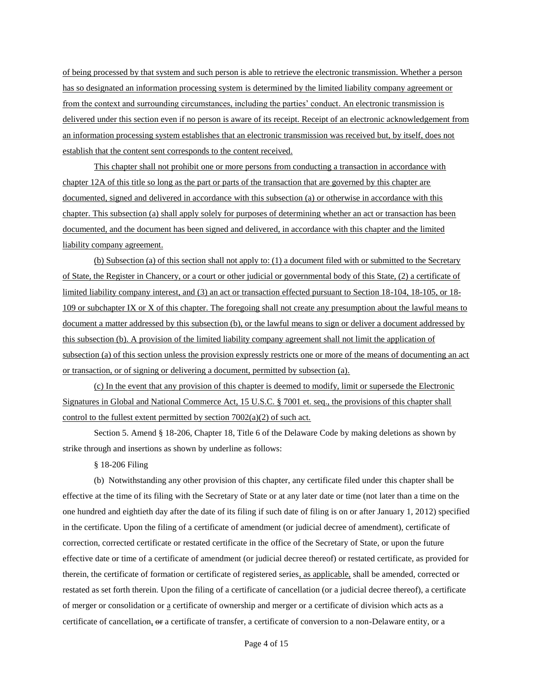of being processed by that system and such person is able to retrieve the electronic transmission. Whether a person has so designated an information processing system is determined by the limited liability company agreement or from the context and surrounding circumstances, including the parties' conduct. An electronic transmission is delivered under this section even if no person is aware of its receipt. Receipt of an electronic acknowledgement from an information processing system establishes that an electronic transmission was received but, by itself, does not establish that the content sent corresponds to the content received.

This chapter shall not prohibit one or more persons from conducting a transaction in accordance with chapter 12A of this title so long as the part or parts of the transaction that are governed by this chapter are documented, signed and delivered in accordance with this subsection (a) or otherwise in accordance with this chapter. This subsection (a) shall apply solely for purposes of determining whether an act or transaction has been documented, and the document has been signed and delivered, in accordance with this chapter and the limited liability company agreement.

(b) Subsection (a) of this section shall not apply to: (1) a document filed with or submitted to the Secretary of State, the Register in Chancery, or a court or other judicial or governmental body of this State, (2) a certificate of limited liability company interest, and (3) an act or transaction effected pursuant to Section 18-104, 18-105, or 18- 109 or subchapter IX or X of this chapter. The foregoing shall not create any presumption about the lawful means to document a matter addressed by this subsection (b), or the lawful means to sign or deliver a document addressed by this subsection (b). A provision of the limited liability company agreement shall not limit the application of subsection (a) of this section unless the provision expressly restricts one or more of the means of documenting an act or transaction, or of signing or delivering a document, permitted by subsection (a).

(c) In the event that any provision of this chapter is deemed to modify, limit or supersede the Electronic Signatures in Global and National Commerce Act, 15 U.S.C. § 7001 et. seq., the provisions of this chapter shall control to the fullest extent permitted by section  $7002(a)(2)$  of such act.

Section 5. Amend § 18-206, Chapter 18, Title 6 of the Delaware Code by making deletions as shown by strike through and insertions as shown by underline as follows:

§ 18-206 Filing

(b) Notwithstanding any other provision of this chapter, any certificate filed under this chapter shall be effective at the time of its filing with the Secretary of State or at any later date or time (not later than a time on the one hundred and eightieth day after the date of its filing if such date of filing is on or after January 1, 2012) specified in the certificate. Upon the filing of a certificate of amendment (or judicial decree of amendment), certificate of correction, corrected certificate or restated certificate in the office of the Secretary of State, or upon the future effective date or time of a certificate of amendment (or judicial decree thereof) or restated certificate, as provided for therein, the certificate of formation or certificate of registered series, as applicable, shall be amended, corrected or restated as set forth therein. Upon the filing of a certificate of cancellation (or a judicial decree thereof), a certificate of merger or consolidation or a certificate of ownership and merger or a certificate of division which acts as a certificate of cancellation, or a certificate of transfer, a certificate of conversion to a non-Delaware entity, or a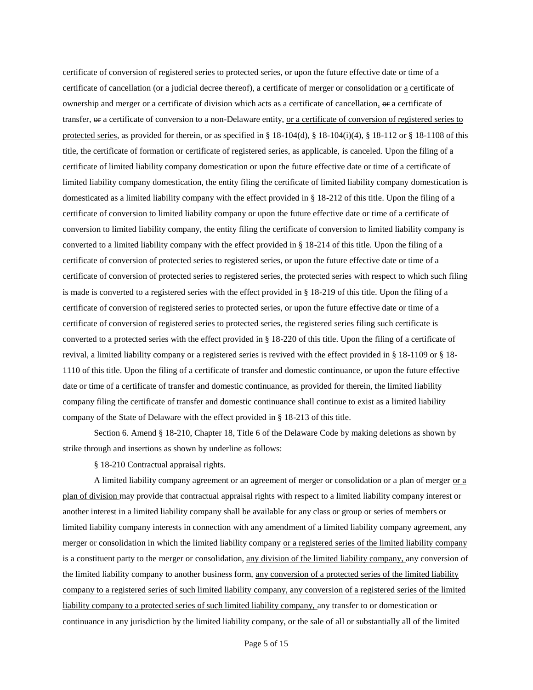certificate of conversion of registered series to protected series, or upon the future effective date or time of a certificate of cancellation (or a judicial decree thereof), a certificate of merger or consolidation or a certificate of ownership and merger or a certificate of division which acts as a certificate of cancellation,  $\Theta$  a certificate of transfer, or a certificate of conversion to a non-Delaware entity, or a certificate of conversion of registered series to protected series, as provided for therein, or as specified in  $\S$  18-104(d),  $\S$  18-104(i)(4),  $\S$  18-112 or  $\S$  18-1108 of this title, the certificate of formation or certificate of registered series, as applicable, is canceled. Upon the filing of a certificate of limited liability company domestication or upon the future effective date or time of a certificate of limited liability company domestication, the entity filing the certificate of limited liability company domestication is domesticated as a limited liability company with the effect provided in § 18-212 of this title. Upon the filing of a certificate of conversion to limited liability company or upon the future effective date or time of a certificate of conversion to limited liability company, the entity filing the certificate of conversion to limited liability company is converted to a limited liability company with the effect provided in § 18-214 of this title. Upon the filing of a certificate of conversion of protected series to registered series, or upon the future effective date or time of a certificate of conversion of protected series to registered series, the protected series with respect to which such filing is made is converted to a registered series with the effect provided in § 18-219 of this title. Upon the filing of a certificate of conversion of registered series to protected series, or upon the future effective date or time of a certificate of conversion of registered series to protected series, the registered series filing such certificate is converted to a protected series with the effect provided in § 18-220 of this title. Upon the filing of a certificate of revival, a limited liability company or a registered series is revived with the effect provided in § 18-1109 or § 18- 1110 of this title. Upon the filing of a certificate of transfer and domestic continuance, or upon the future effective date or time of a certificate of transfer and domestic continuance, as provided for therein, the limited liability company filing the certificate of transfer and domestic continuance shall continue to exist as a limited liability company of the State of Delaware with the effect provided in § 18-213 of this title.

Section 6. Amend § 18-210, Chapter 18, Title 6 of the Delaware Code by making deletions as shown by strike through and insertions as shown by underline as follows:

§ 18-210 Contractual appraisal rights.

A limited liability company agreement or an agreement of merger or consolidation or a plan of merger or a plan of division may provide that contractual appraisal rights with respect to a limited liability company interest or another interest in a limited liability company shall be available for any class or group or series of members or limited liability company interests in connection with any amendment of a limited liability company agreement, any merger or consolidation in which the limited liability company or a registered series of the limited liability company is a constituent party to the merger or consolidation, any division of the limited liability company, any conversion of the limited liability company to another business form, any conversion of a protected series of the limited liability company to a registered series of such limited liability company, any conversion of a registered series of the limited liability company to a protected series of such limited liability company, any transfer to or domestication or continuance in any jurisdiction by the limited liability company, or the sale of all or substantially all of the limited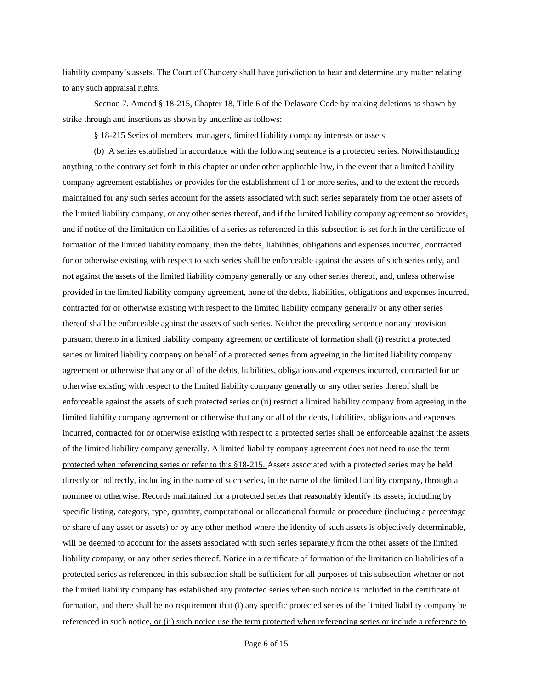liability company's assets. The Court of Chancery shall have jurisdiction to hear and determine any matter relating to any such appraisal rights.

Section 7. Amend § 18-215, Chapter 18, Title 6 of the Delaware Code by making deletions as shown by strike through and insertions as shown by underline as follows:

§ 18-215 Series of members, managers, limited liability company interests or assets

(b) A series established in accordance with the following sentence is a protected series. Notwithstanding anything to the contrary set forth in this chapter or under other applicable law, in the event that a limited liability company agreement establishes or provides for the establishment of 1 or more series, and to the extent the records maintained for any such series account for the assets associated with such series separately from the other assets of the limited liability company, or any other series thereof, and if the limited liability company agreement so provides, and if notice of the limitation on liabilities of a series as referenced in this subsection is set forth in the certificate of formation of the limited liability company, then the debts, liabilities, obligations and expenses incurred, contracted for or otherwise existing with respect to such series shall be enforceable against the assets of such series only, and not against the assets of the limited liability company generally or any other series thereof, and, unless otherwise provided in the limited liability company agreement, none of the debts, liabilities, obligations and expenses incurred, contracted for or otherwise existing with respect to the limited liability company generally or any other series thereof shall be enforceable against the assets of such series. Neither the preceding sentence nor any provision pursuant thereto in a limited liability company agreement or certificate of formation shall (i) restrict a protected series or limited liability company on behalf of a protected series from agreeing in the limited liability company agreement or otherwise that any or all of the debts, liabilities, obligations and expenses incurred, contracted for or otherwise existing with respect to the limited liability company generally or any other series thereof shall be enforceable against the assets of such protected series or (ii) restrict a limited liability company from agreeing in the limited liability company agreement or otherwise that any or all of the debts, liabilities, obligations and expenses incurred, contracted for or otherwise existing with respect to a protected series shall be enforceable against the assets of the limited liability company generally. A limited liability company agreement does not need to use the term protected when referencing series or refer to this §18-215. Assets associated with a protected series may be held directly or indirectly, including in the name of such series, in the name of the limited liability company, through a nominee or otherwise. Records maintained for a protected series that reasonably identify its assets, including by specific listing, category, type, quantity, computational or allocational formula or procedure (including a percentage or share of any asset or assets) or by any other method where the identity of such assets is objectively determinable, will be deemed to account for the assets associated with such series separately from the other assets of the limited liability company, or any other series thereof. Notice in a certificate of formation of the limitation on liabilities of a protected series as referenced in this subsection shall be sufficient for all purposes of this subsection whether or not the limited liability company has established any protected series when such notice is included in the certificate of formation, and there shall be no requirement that  $(i)$  any specific protected series of the limited liability company be referenced in such notice, or (ii) such notice use the term protected when referencing series or include a reference to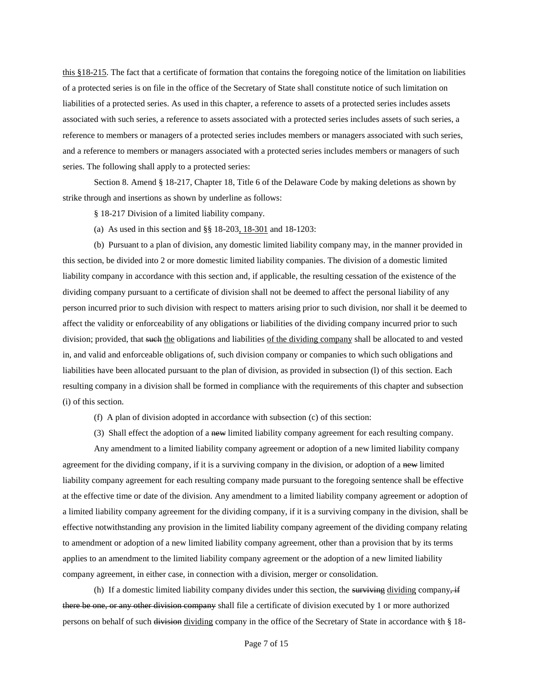this §18-215. The fact that a certificate of formation that contains the foregoing notice of the limitation on liabilities of a protected series is on file in the office of the Secretary of State shall constitute notice of such limitation on liabilities of a protected series. As used in this chapter, a reference to assets of a protected series includes assets associated with such series, a reference to assets associated with a protected series includes assets of such series, a reference to members or managers of a protected series includes members or managers associated with such series, and a reference to members or managers associated with a protected series includes members or managers of such series. The following shall apply to a protected series:

Section 8. Amend § 18-217, Chapter 18, Title 6 of the Delaware Code by making deletions as shown by strike through and insertions as shown by underline as follows:

§ 18-217 Division of a limited liability company.

(a) As used in this section and §§ 18-203, 18-301 and 18-1203:

(b) Pursuant to a plan of division, any domestic limited liability company may, in the manner provided in this section, be divided into 2 or more domestic limited liability companies. The division of a domestic limited liability company in accordance with this section and, if applicable, the resulting cessation of the existence of the dividing company pursuant to a certificate of division shall not be deemed to affect the personal liability of any person incurred prior to such division with respect to matters arising prior to such division, nor shall it be deemed to affect the validity or enforceability of any obligations or liabilities of the dividing company incurred prior to such division; provided, that such the obligations and liabilities of the dividing company shall be allocated to and vested in, and valid and enforceable obligations of, such division company or companies to which such obligations and liabilities have been allocated pursuant to the plan of division, as provided in subsection (l) of this section. Each resulting company in a division shall be formed in compliance with the requirements of this chapter and subsection (i) of this section.

- (f) A plan of division adopted in accordance with subsection (c) of this section:
- (3) Shall effect the adoption of a new limited liability company agreement for each resulting company.

Any amendment to a limited liability company agreement or adoption of a new limited liability company agreement for the dividing company, if it is a surviving company in the division, or adoption of a new limited liability company agreement for each resulting company made pursuant to the foregoing sentence shall be effective at the effective time or date of the division. Any amendment to a limited liability company agreement or adoption of a limited liability company agreement for the dividing company, if it is a surviving company in the division, shall be effective notwithstanding any provision in the limited liability company agreement of the dividing company relating to amendment or adoption of a new limited liability company agreement, other than a provision that by its terms applies to an amendment to the limited liability company agreement or the adoption of a new limited liability company agreement, in either case, in connection with a division, merger or consolidation.

(h) If a domestic limited liability company divides under this section, the surviving dividing company, if there be one, or any other division company shall file a certificate of division executed by 1 or more authorized persons on behalf of such division dividing company in the office of the Secretary of State in accordance with § 18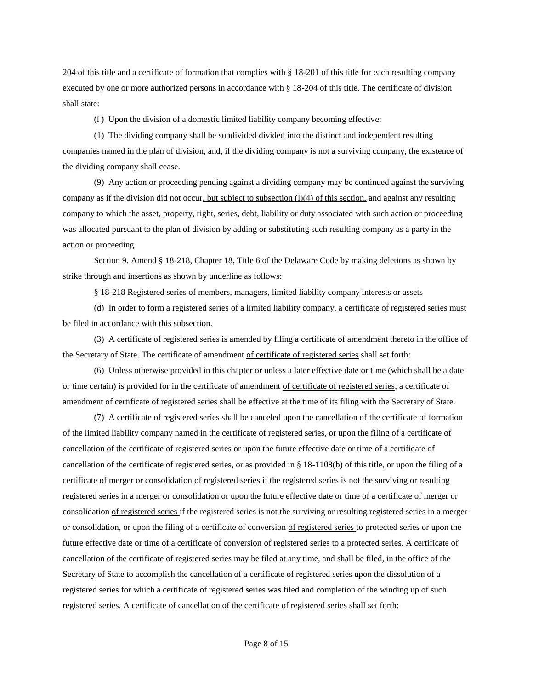204 of this title and a certificate of formation that complies with § 18-201 of this title for each resulting company executed by one or more authorized persons in accordance with § 18-204 of this title. The certificate of division shall state:

(l ) Upon the division of a domestic limited liability company becoming effective:

(1) The dividing company shall be subdivided divided into the distinct and independent resulting companies named in the plan of division, and, if the dividing company is not a surviving company, the existence of the dividing company shall cease.

(9) Any action or proceeding pending against a dividing company may be continued against the surviving company as if the division did not occur, but subject to subsection (l)(4) of this section, and against any resulting company to which the asset, property, right, series, debt, liability or duty associated with such action or proceeding was allocated pursuant to the plan of division by adding or substituting such resulting company as a party in the action or proceeding.

Section 9. Amend § 18-218, Chapter 18, Title 6 of the Delaware Code by making deletions as shown by strike through and insertions as shown by underline as follows:

§ 18-218 Registered series of members, managers, limited liability company interests or assets

(d) In order to form a registered series of a limited liability company, a certificate of registered series must be filed in accordance with this subsection.

(3) A certificate of registered series is amended by filing a certificate of amendment thereto in the office of the Secretary of State. The certificate of amendment of certificate of registered series shall set forth:

(6) Unless otherwise provided in this chapter or unless a later effective date or time (which shall be a date or time certain) is provided for in the certificate of amendment of certificate of registered series, a certificate of amendment of certificate of registered series shall be effective at the time of its filing with the Secretary of State.

(7) A certificate of registered series shall be canceled upon the cancellation of the certificate of formation of the limited liability company named in the certificate of registered series, or upon the filing of a certificate of cancellation of the certificate of registered series or upon the future effective date or time of a certificate of cancellation of the certificate of registered series, or as provided in § 18-1108(b) of this title, or upon the filing of a certificate of merger or consolidation of registered series if the registered series is not the surviving or resulting registered series in a merger or consolidation or upon the future effective date or time of a certificate of merger or consolidation of registered series if the registered series is not the surviving or resulting registered series in a merger or consolidation, or upon the filing of a certificate of conversion of registered series to protected series or upon the future effective date or time of a certificate of conversion of registered series to a protected series. A certificate of cancellation of the certificate of registered series may be filed at any time, and shall be filed, in the office of the Secretary of State to accomplish the cancellation of a certificate of registered series upon the dissolution of a registered series for which a certificate of registered series was filed and completion of the winding up of such registered series. A certificate of cancellation of the certificate of registered series shall set forth: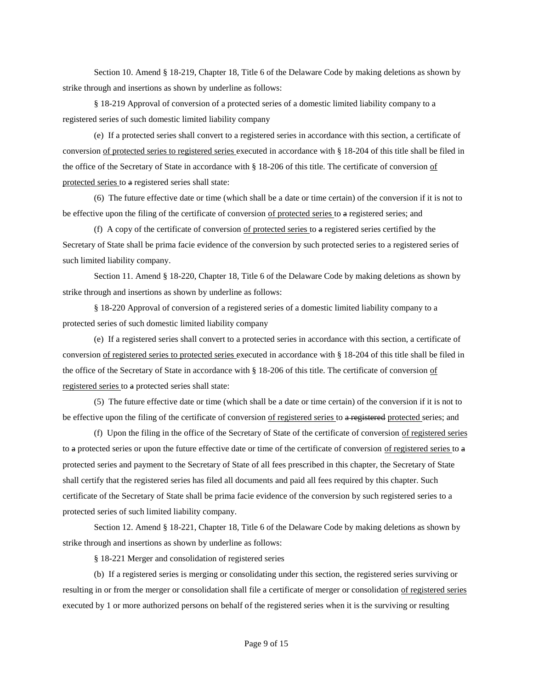Section 10. Amend § 18-219, Chapter 18, Title 6 of the Delaware Code by making deletions as shown by strike through and insertions as shown by underline as follows:

§ 18-219 Approval of conversion of a protected series of a domestic limited liability company to a registered series of such domestic limited liability company

(e) If a protected series shall convert to a registered series in accordance with this section, a certificate of conversion of protected series to registered series executed in accordance with § 18-204 of this title shall be filed in the office of the Secretary of State in accordance with § 18-206 of this title. The certificate of conversion of protected series to a registered series shall state:

(6) The future effective date or time (which shall be a date or time certain) of the conversion if it is not to be effective upon the filing of the certificate of conversion of protected series to a registered series; and

(f) A copy of the certificate of conversion of protected series to  $a$  registered series certified by the Secretary of State shall be prima facie evidence of the conversion by such protected series to a registered series of such limited liability company.

Section 11. Amend § 18-220, Chapter 18, Title 6 of the Delaware Code by making deletions as shown by strike through and insertions as shown by underline as follows:

§ 18-220 Approval of conversion of a registered series of a domestic limited liability company to a protected series of such domestic limited liability company

(e) If a registered series shall convert to a protected series in accordance with this section, a certificate of conversion of registered series to protected series executed in accordance with § 18-204 of this title shall be filed in the office of the Secretary of State in accordance with § 18-206 of this title. The certificate of conversion of registered series to a protected series shall state:

(5) The future effective date or time (which shall be a date or time certain) of the conversion if it is not to be effective upon the filing of the certificate of conversion <u>of registered series</u> to a registered protected series; and

(f) Upon the filing in the office of the Secretary of State of the certificate of conversion of registered series to a protected series or upon the future effective date or time of the certificate of conversion of registered series to a protected series and payment to the Secretary of State of all fees prescribed in this chapter, the Secretary of State shall certify that the registered series has filed all documents and paid all fees required by this chapter. Such certificate of the Secretary of State shall be prima facie evidence of the conversion by such registered series to a protected series of such limited liability company.

Section 12. Amend § 18-221, Chapter 18, Title 6 of the Delaware Code by making deletions as shown by strike through and insertions as shown by underline as follows:

§ 18-221 Merger and consolidation of registered series

(b) If a registered series is merging or consolidating under this section, the registered series surviving or resulting in or from the merger or consolidation shall file a certificate of merger or consolidation of registered series executed by 1 or more authorized persons on behalf of the registered series when it is the surviving or resulting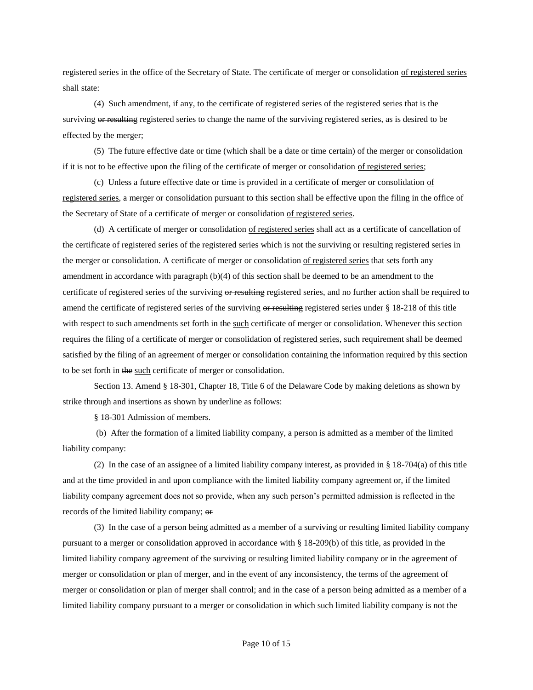registered series in the office of the Secretary of State. The certificate of merger or consolidation of registered series shall state:

(4) Such amendment, if any, to the certificate of registered series of the registered series that is the surviving or resulting registered series to change the name of the surviving registered series, as is desired to be effected by the merger;

(5) The future effective date or time (which shall be a date or time certain) of the merger or consolidation if it is not to be effective upon the filing of the certificate of merger or consolidation of registered series;

(c) Unless a future effective date or time is provided in a certificate of merger or consolidation of registered series, a merger or consolidation pursuant to this section shall be effective upon the filing in the office of the Secretary of State of a certificate of merger or consolidation of registered series.

(d) A certificate of merger or consolidation of registered series shall act as a certificate of cancellation of the certificate of registered series of the registered series which is not the surviving or resulting registered series in the merger or consolidation. A certificate of merger or consolidation of registered series that sets forth any amendment in accordance with paragraph (b)(4) of this section shall be deemed to be an amendment to the certificate of registered series of the surviving or resulting registered series, and no further action shall be required to amend the certificate of registered series of the surviving  $\theta$  resulting registered series under § 18-218 of this title with respect to such amendments set forth in the such certificate of merger or consolidation. Whenever this section requires the filing of a certificate of merger or consolidation of registered series, such requirement shall be deemed satisfied by the filing of an agreement of merger or consolidation containing the information required by this section to be set forth in the such certificate of merger or consolidation.

Section 13. Amend § 18-301, Chapter 18, Title 6 of the Delaware Code by making deletions as shown by strike through and insertions as shown by underline as follows:

§ 18-301 Admission of members.

(b) After the formation of a limited liability company, a person is admitted as a member of the limited liability company:

(2) In the case of an assignee of a limited liability company interest, as provided in  $\S$  18-704(a) of this title and at the time provided in and upon compliance with the limited liability company agreement or, if the limited liability company agreement does not so provide, when any such person's permitted admission is reflected in the records of the limited liability company; or

(3) In the case of a person being admitted as a member of a surviving or resulting limited liability company pursuant to a merger or consolidation approved in accordance with § 18-209(b) of this title, as provided in the limited liability company agreement of the surviving or resulting limited liability company or in the agreement of merger or consolidation or plan of merger, and in the event of any inconsistency, the terms of the agreement of merger or consolidation or plan of merger shall control; and in the case of a person being admitted as a member of a limited liability company pursuant to a merger or consolidation in which such limited liability company is not the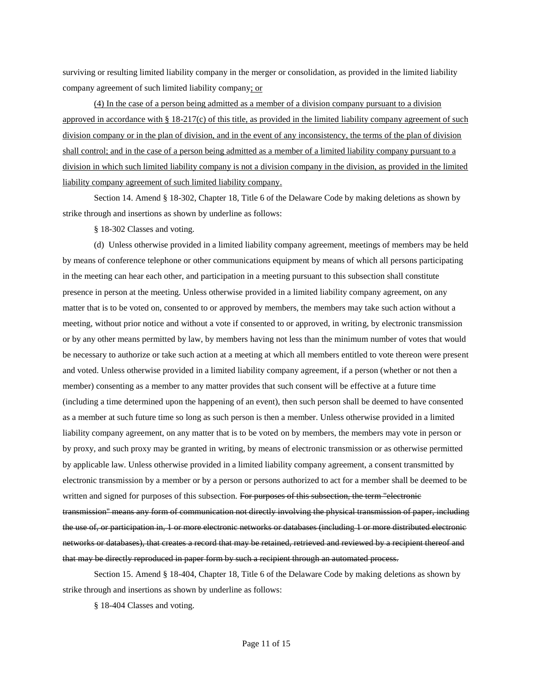surviving or resulting limited liability company in the merger or consolidation, as provided in the limited liability company agreement of such limited liability company; or

(4) In the case of a person being admitted as a member of a division company pursuant to a division approved in accordance with  $\S 18-217(c)$  of this title, as provided in the limited liability company agreement of such division company or in the plan of division, and in the event of any inconsistency, the terms of the plan of division shall control; and in the case of a person being admitted as a member of a limited liability company pursuant to a division in which such limited liability company is not a division company in the division, as provided in the limited liability company agreement of such limited liability company.

Section 14. Amend § 18-302, Chapter 18, Title 6 of the Delaware Code by making deletions as shown by strike through and insertions as shown by underline as follows:

§ 18-302 Classes and voting.

(d) Unless otherwise provided in a limited liability company agreement, meetings of members may be held by means of conference telephone or other communications equipment by means of which all persons participating in the meeting can hear each other, and participation in a meeting pursuant to this subsection shall constitute presence in person at the meeting. Unless otherwise provided in a limited liability company agreement, on any matter that is to be voted on, consented to or approved by members, the members may take such action without a meeting, without prior notice and without a vote if consented to or approved, in writing, by electronic transmission or by any other means permitted by law, by members having not less than the minimum number of votes that would be necessary to authorize or take such action at a meeting at which all members entitled to vote thereon were present and voted. Unless otherwise provided in a limited liability company agreement, if a person (whether or not then a member) consenting as a member to any matter provides that such consent will be effective at a future time (including a time determined upon the happening of an event), then such person shall be deemed to have consented as a member at such future time so long as such person is then a member. Unless otherwise provided in a limited liability company agreement, on any matter that is to be voted on by members, the members may vote in person or by proxy, and such proxy may be granted in writing, by means of electronic transmission or as otherwise permitted by applicable law. Unless otherwise provided in a limited liability company agreement, a consent transmitted by electronic transmission by a member or by a person or persons authorized to act for a member shall be deemed to be written and signed for purposes of this subsection. For purposes of this subsection, the term "electronic transmission'' means any form of communication not directly involving the physical transmission of paper, including the use of, or participation in, 1 or more electronic networks or databases (including 1 or more distributed electronic networks or databases), that creates a record that may be retained, retrieved and reviewed by a recipient thereof and that may be directly reproduced in paper form by such a recipient through an automated process.

Section 15. Amend § 18-404, Chapter 18, Title 6 of the Delaware Code by making deletions as shown by strike through and insertions as shown by underline as follows:

§ 18-404 Classes and voting.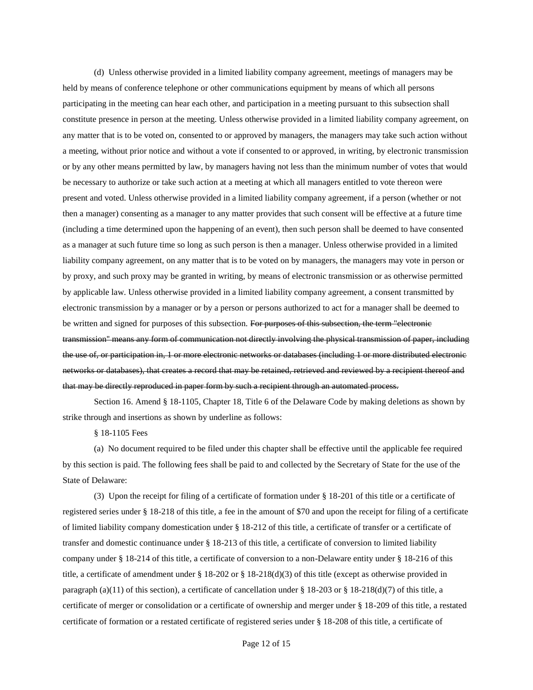(d) Unless otherwise provided in a limited liability company agreement, meetings of managers may be held by means of conference telephone or other communications equipment by means of which all persons participating in the meeting can hear each other, and participation in a meeting pursuant to this subsection shall constitute presence in person at the meeting. Unless otherwise provided in a limited liability company agreement, on any matter that is to be voted on, consented to or approved by managers, the managers may take such action without a meeting, without prior notice and without a vote if consented to or approved, in writing, by electronic transmission or by any other means permitted by law, by managers having not less than the minimum number of votes that would be necessary to authorize or take such action at a meeting at which all managers entitled to vote thereon were present and voted. Unless otherwise provided in a limited liability company agreement, if a person (whether or not then a manager) consenting as a manager to any matter provides that such consent will be effective at a future time (including a time determined upon the happening of an event), then such person shall be deemed to have consented as a manager at such future time so long as such person is then a manager. Unless otherwise provided in a limited liability company agreement, on any matter that is to be voted on by managers, the managers may vote in person or by proxy, and such proxy may be granted in writing, by means of electronic transmission or as otherwise permitted by applicable law. Unless otherwise provided in a limited liability company agreement, a consent transmitted by electronic transmission by a manager or by a person or persons authorized to act for a manager shall be deemed to be written and signed for purposes of this subsection. For purposes of this subsection, the term "electronic transmission'' means any form of communication not directly involving the physical transmission of paper, including the use of, or participation in, 1 or more electronic networks or databases (including 1 or more distributed electronic networks or databases), that creates a record that may be retained, retrieved and reviewed by a recipient thereof and that may be directly reproduced in paper form by such a recipient through an automated process.

Section 16. Amend § 18-1105, Chapter 18, Title 6 of the Delaware Code by making deletions as shown by strike through and insertions as shown by underline as follows:

§ 18-1105 Fees

(a) No document required to be filed under this chapter shall be effective until the applicable fee required by this section is paid. The following fees shall be paid to and collected by the Secretary of State for the use of the State of Delaware:

(3) Upon the receipt for filing of a certificate of formation under § 18-201 of this title or a certificate of registered series under § 18-218 of this title, a fee in the amount of \$70 and upon the receipt for filing of a certificate of limited liability company domestication under § 18-212 of this title, a certificate of transfer or a certificate of transfer and domestic continuance under § 18-213 of this title, a certificate of conversion to limited liability company under § 18-214 of this title, a certificate of conversion to a non-Delaware entity under § 18-216 of this title, a certificate of amendment under § 18-202 or § 18-218(d)(3) of this title (except as otherwise provided in paragraph (a)(11) of this section), a certificate of cancellation under § 18-203 or § 18-218(d)(7) of this title, a certificate of merger or consolidation or a certificate of ownership and merger under § 18-209 of this title, a restated certificate of formation or a restated certificate of registered series under § 18-208 of this title, a certificate of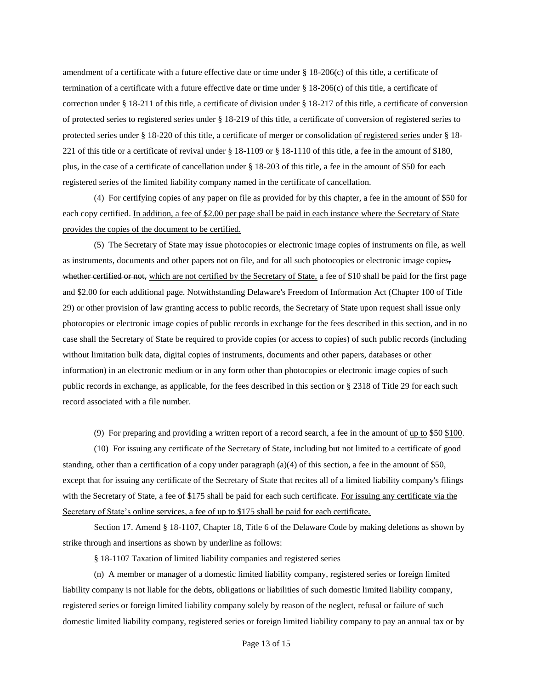amendment of a certificate with a future effective date or time under  $\S 18{\text -}206(c)$  of this title, a certificate of termination of a certificate with a future effective date or time under § 18-206(c) of this title, a certificate of correction under § 18-211 of this title, a certificate of division under § 18-217 of this title, a certificate of conversion of protected series to registered series under § 18-219 of this title, a certificate of conversion of registered series to protected series under § 18-220 of this title, a certificate of merger or consolidation of registered series under § 18- 221 of this title or a certificate of revival under § 18-1109 or § 18-1110 of this title, a fee in the amount of \$180, plus, in the case of a certificate of cancellation under § 18-203 of this title, a fee in the amount of \$50 for each registered series of the limited liability company named in the certificate of cancellation.

(4) For certifying copies of any paper on file as provided for by this chapter, a fee in the amount of \$50 for each copy certified. In addition, a fee of \$2.00 per page shall be paid in each instance where the Secretary of State provides the copies of the document to be certified.

(5) The Secretary of State may issue photocopies or electronic image copies of instruments on file, as well as instruments, documents and other papers not on file, and for all such photocopies or electronic image copies, whether certified or not, which are not certified by the Secretary of State, a fee of \$10 shall be paid for the first page and \$2.00 for each additional page. Notwithstanding Delaware's Freedom of Information Act (Chapter 100 of Title 29) or other provision of law granting access to public records, the Secretary of State upon request shall issue only photocopies or electronic image copies of public records in exchange for the fees described in this section, and in no case shall the Secretary of State be required to provide copies (or access to copies) of such public records (including without limitation bulk data, digital copies of instruments, documents and other papers, databases or other information) in an electronic medium or in any form other than photocopies or electronic image copies of such public records in exchange, as applicable, for the fees described in this section or § 2318 of Title 29 for each such record associated with a file number.

(9) For preparing and providing a written report of a record search, a fee in the amount of up to \$50 \$100.

(10) For issuing any certificate of the Secretary of State, including but not limited to a certificate of good standing, other than a certification of a copy under paragraph (a)(4) of this section, a fee in the amount of \$50, except that for issuing any certificate of the Secretary of State that recites all of a limited liability company's filings with the Secretary of State, a fee of \$175 shall be paid for each such certificate. For issuing any certificate via the Secretary of State's online services, a fee of up to \$175 shall be paid for each certificate.

Section 17. Amend § 18-1107, Chapter 18, Title 6 of the Delaware Code by making deletions as shown by strike through and insertions as shown by underline as follows:

§ 18-1107 Taxation of limited liability companies and registered series

(n) A member or manager of a domestic limited liability company, registered series or foreign limited liability company is not liable for the debts, obligations or liabilities of such domestic limited liability company, registered series or foreign limited liability company solely by reason of the neglect, refusal or failure of such domestic limited liability company, registered series or foreign limited liability company to pay an annual tax or by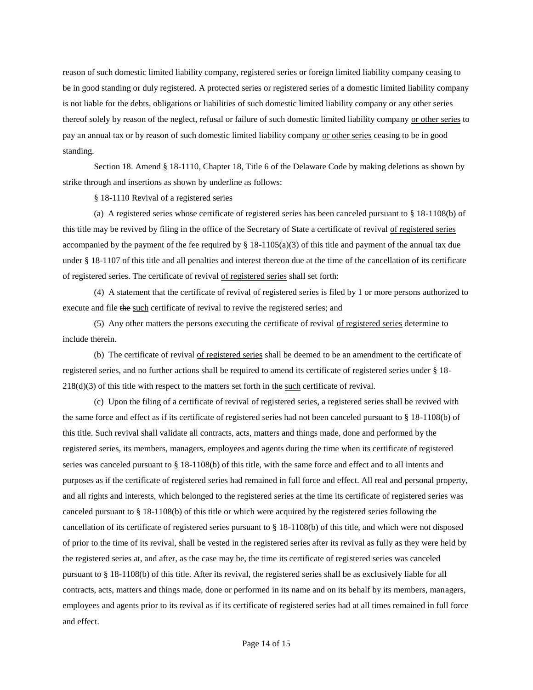reason of such domestic limited liability company, registered series or foreign limited liability company ceasing to be in good standing or duly registered. A protected series or registered series of a domestic limited liability company is not liable for the debts, obligations or liabilities of such domestic limited liability company or any other series thereof solely by reason of the neglect, refusal or failure of such domestic limited liability company or other series to pay an annual tax or by reason of such domestic limited liability company or other series ceasing to be in good standing.

Section 18. Amend § 18-1110, Chapter 18, Title 6 of the Delaware Code by making deletions as shown by strike through and insertions as shown by underline as follows:

§ 18-1110 Revival of a registered series

(a) A registered series whose certificate of registered series has been canceled pursuant to § 18-1108(b) of this title may be revived by filing in the office of the Secretary of State a certificate of revival of registered series accompanied by the payment of the fee required by  $\S$  18-1105(a)(3) of this title and payment of the annual tax due under § 18-1107 of this title and all penalties and interest thereon due at the time of the cancellation of its certificate of registered series. The certificate of revival of registered series shall set forth:

(4) A statement that the certificate of revival of registered series is filed by 1 or more persons authorized to execute and file the such certificate of revival to revive the registered series; and

(5) Any other matters the persons executing the certificate of revival of registered series determine to include therein.

(b) The certificate of revival of registered series shall be deemed to be an amendment to the certificate of registered series, and no further actions shall be required to amend its certificate of registered series under § 18-  $218(d)(3)$  of this title with respect to the matters set forth in the such certificate of revival.

(c) Upon the filing of a certificate of revival of registered series, a registered series shall be revived with the same force and effect as if its certificate of registered series had not been canceled pursuant to § 18-1108(b) of this title. Such revival shall validate all contracts, acts, matters and things made, done and performed by the registered series, its members, managers, employees and agents during the time when its certificate of registered series was canceled pursuant to § 18-1108(b) of this title, with the same force and effect and to all intents and purposes as if the certificate of registered series had remained in full force and effect. All real and personal property, and all rights and interests, which belonged to the registered series at the time its certificate of registered series was canceled pursuant to § 18-1108(b) of this title or which were acquired by the registered series following the cancellation of its certificate of registered series pursuant to § 18-1108(b) of this title, and which were not disposed of prior to the time of its revival, shall be vested in the registered series after its revival as fully as they were held by the registered series at, and after, as the case may be, the time its certificate of registered series was canceled pursuant to § 18-1108(b) of this title. After its revival, the registered series shall be as exclusively liable for all contracts, acts, matters and things made, done or performed in its name and on its behalf by its members, managers, employees and agents prior to its revival as if its certificate of registered series had at all times remained in full force and effect.